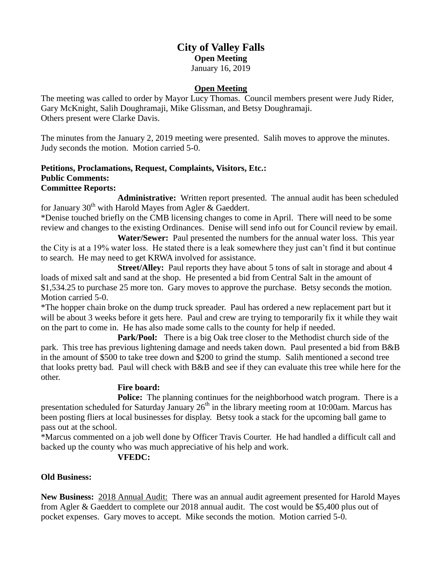# **City of Valley Falls Open Meeting** January 16, 2019

### **Open Meeting**

The meeting was called to order by Mayor Lucy Thomas. Council members present were Judy Rider, Gary McKnight, Salih Doughramaji, Mike Glissman, and Betsy Doughramaji. Others present were Clarke Davis.

The minutes from the January 2, 2019 meeting were presented. Salih moves to approve the minutes. Judy seconds the motion. Motion carried 5-0.

# **Petitions, Proclamations, Request, Complaints, Visitors, Etc.: Public Comments:**

## **Committee Reports:**

**Administrative:** Written report presented. The annual audit has been scheduled for January  $30<sup>th</sup>$  with Harold Mayes from Agler & Gaeddert.

\*Denise touched briefly on the CMB licensing changes to come in April. There will need to be some review and changes to the existing Ordinances. Denise will send info out for Council review by email.

**Water/Sewer:** Paul presented the numbers for the annual water loss. This year the City is at a 19% water loss. He stated there is a leak somewhere they just can't find it but continue to search. He may need to get KRWA involved for assistance.

**Street/Alley:** Paul reports they have about 5 tons of salt in storage and about 4 loads of mixed salt and sand at the shop. He presented a bid from Central Salt in the amount of \$1,534.25 to purchase 25 more ton. Gary moves to approve the purchase. Betsy seconds the motion. Motion carried 5-0.

\*The hopper chain broke on the dump truck spreader. Paul has ordered a new replacement part but it will be about 3 weeks before it gets here. Paul and crew are trying to temporarily fix it while they wait on the part to come in. He has also made some calls to the county for help if needed.

**Park/Pool:** There is a big Oak tree closer to the Methodist church side of the park. This tree has previous lightening damage and needs taken down. Paul presented a bid from B&B in the amount of \$500 to take tree down and \$200 to grind the stump. Salih mentioned a second tree that looks pretty bad. Paul will check with B&B and see if they can evaluate this tree while here for the other.

### **Fire board:**

Police: The planning continues for the neighborhood watch program. There is a presentation scheduled for Saturday January  $26<sup>th</sup>$  in the library meeting room at 10:00am. Marcus has been posting fliers at local businesses for display. Betsy took a stack for the upcoming ball game to pass out at the school.

\*Marcus commented on a job well done by Officer Travis Courter. He had handled a difficult call and backed up the county who was much appreciative of his help and work.

# **VFEDC:**

# **Old Business:**

**New Business:** 2018 Annual Audit: There was an annual audit agreement presented for Harold Mayes from Agler & Gaeddert to complete our 2018 annual audit. The cost would be \$5,400 plus out of pocket expenses. Gary moves to accept. Mike seconds the motion. Motion carried 5-0.